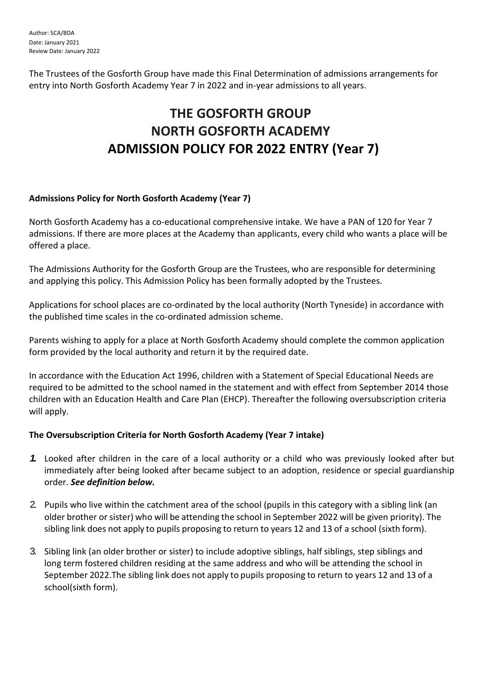The Trustees of the Gosforth Group have made this Final Determination of admissions arrangements for entry into North Gosforth Academy Year 7 in 2022 and in-year admissions to all years.

# **THE GOSFORTH GROUP NORTH GOSFORTH ACADEMY ADMISSION POLICY FOR 2022 ENTRY (Year 7)**

## **Admissions Policy for North Gosforth Academy (Year 7)**

North Gosforth Academy has a co-educational comprehensive intake. We have a PAN of 120 for Year 7 admissions. If there are more places at the Academy than applicants, every child who wants a place will be offered a place.

The Admissions Authority for the Gosforth Group are the Trustees, who are responsible for determining and applying this policy. This Admission Policy has been formally adopted by the Trustees.

Applications for school places are co-ordinated by the local authority (North Tyneside) in accordance with the published time scales in the co-ordinated admission scheme.

Parents wishing to apply for a place at North Gosforth Academy should complete the common application form provided by the local authority and return it by the required date.

In accordance with the Education Act 1996, children with a Statement of Special Educational Needs are required to be admitted to the school named in the statement and with effect from September 2014 those children with an Education Health and Care Plan (EHCP). Thereafter the following oversubscription criteria will apply.

# **The Oversubscription Criteria for North Gosforth Academy (Year 7 intake)**

- *1.* Looked after children in the care of a local authority or a child who was previously looked after but immediately after being looked after became subject to an adoption, residence or special guardianship order. *See definition below.*
- 2. Pupils who live within the catchment area of the school (pupils in this category with a sibling link (an older brother or sister) who will be attending the school in September 2022 will be given priority). The sibling link does not apply to pupils proposing to return to years 12 and 13 of a school (sixth form).
- 3. Sibling link (an older brother or sister) to include adoptive siblings, half siblings, step siblings and long term fostered children residing at the same address and who will be attending the school in September 2022.The sibling link does not apply to pupils proposing to return to years 12 and 13 of a school(sixth form).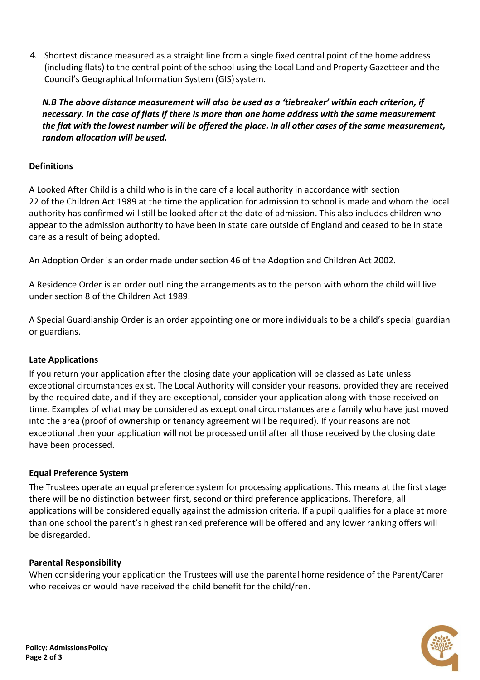4. Shortest distance measured as a straight line from a single fixed central point of the home address (including flats) to the central point of the school using the Local Land and Property Gazetteer and the Council's Geographical Information System (GIS) system.

*N.B The above distance measurement will also be used as a 'tiebreaker' within each criterion, if necessary. In the case of flats if there is more than one home address with the same measurement*  the flat with the lowest number will be offered the place. In all other cases of the same measurement, *random allocation will be used.*

## **Definitions**

A Looked After Child is a child who is in the care of a local authority in accordance with section 22 of the Children Act 1989 at the time the application for admission to school is made and whom the local authority has confirmed will still be looked after at the date of admission. This also includes children who appear to the admission authority to have been in state care outside of England and ceased to be in state care as a result of being adopted.

An Adoption Order is an order made under section 46 of the Adoption and Children Act 2002.

A Residence Order is an order outlining the arrangements as to the person with whom the child will live under section 8 of the Children Act 1989.

A Special Guardianship Order is an order appointing one or more individuals to be a child's special guardian or guardians.

#### **Late Applications**

If you return your application after the closing date your application will be classed as Late unless exceptional circumstances exist. The Local Authority will consider your reasons, provided they are received by the required date, and if they are exceptional, consider your application along with those received on time. Examples of what may be considered as exceptional circumstances are a family who have just moved into the area (proof of ownership or tenancy agreement will be required). If your reasons are not exceptional then your application will not be processed until after all those received by the closing date have been processed.

# **Equal Preference System**

The Trustees operate an equal preference system for processing applications. This means at the first stage there will be no distinction between first, second or third preference applications. Therefore, all applications will be considered equally against the admission criteria. If a pupil qualifies for a place at more than one school the parent's highest ranked preference will be offered and any lower ranking offers will be disregarded.

#### **Parental Responsibility**

When considering your application the Trustees will use the parental home residence of the Parent/Carer who receives or would have received the child benefit for the child/ren.